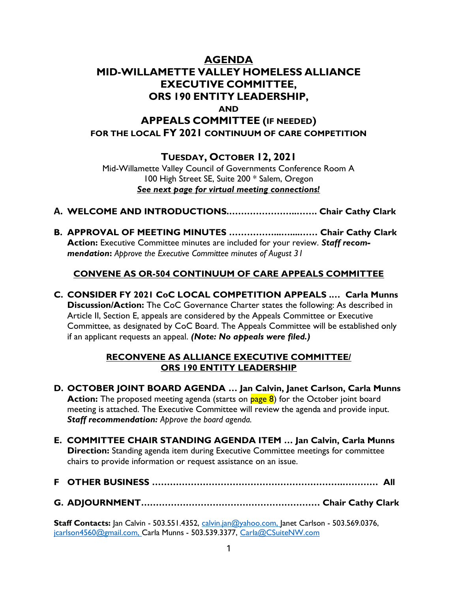# AGENDA MID-WILLAMETTE VALLEY HOMELESS ALLIANCE EXECUTIVE COMMITTEE, ORS 190 ENTITY LEADERSHIP, AND APPEALS COMMITTEE (IF NEEDED) FOR THE LOCAL FY 2021 CONTINUUM OF CARE COMPETITION

# TUESDAY, OCTOBER 12, 2021

Mid-Willamette Valley Council of Governments Conference Room A 100 High Street SE, Suite 200 \* Salem, Oregon See next page for virtual meeting connections!

- A. WELCOME AND INTRODUCTIONS.…………………..……. Chair Cathy Clark
- B. APPROVAL OF MEETING MINUTES ……………...…....…… Chair Cathy Clark Action: Executive Committee minutes are included for your review. Staff recommendation: Approve the Executive Committee minutes of August 31

### CONVENE AS OR-504 CONTINUUM OF CARE APPEALS COMMITTEE

C. CONSIDER FY 2021 CoC LOCAL COMPETITION APPEALS .… Carla Munns Discussion/Action: The CoC Governance Charter states the following: As described in Article II, Section E, appeals are considered by the Appeals Committee or Executive Committee, as designated by CoC Board. The Appeals Committee will be established only if an applicant requests an appeal. (Note: No appeals were filed.)

#### RECONVENE AS ALLIANCE EXECUTIVE COMMITTEE/ ORS 190 ENTITY LEADERSHIP

- D. OCTOBER JOINT BOARD AGENDA … Jan Calvin, Janet Carlson, Carla Munns Action: The proposed meeting agenda (starts on **page 8**) for the October joint board meeting is attached. The Executive Committee will review the agenda and provide input. Staff recommendation: Approve the board agenda.
- E. COMMITTEE CHAIR STANDING AGENDA ITEM … Jan Calvin, Carla Munns **Direction:** Standing agenda item during Executive Committee meetings for committee chairs to provide information or request assistance on an issue.
- F OTHER BUSINESS ……………………………………………………….………… All
- G. ADJOURNMENT…………………………………………………… Chair Cathy Clark

Staff Contacts: Jan Calvin - 503.551.4352, calvin.jan@yahoo.com, Janet Carlson - 503.569.0376, jcarlson4560@gmail.com, Carla Munns - 503.539.3377, Carla@CSuiteNW.com